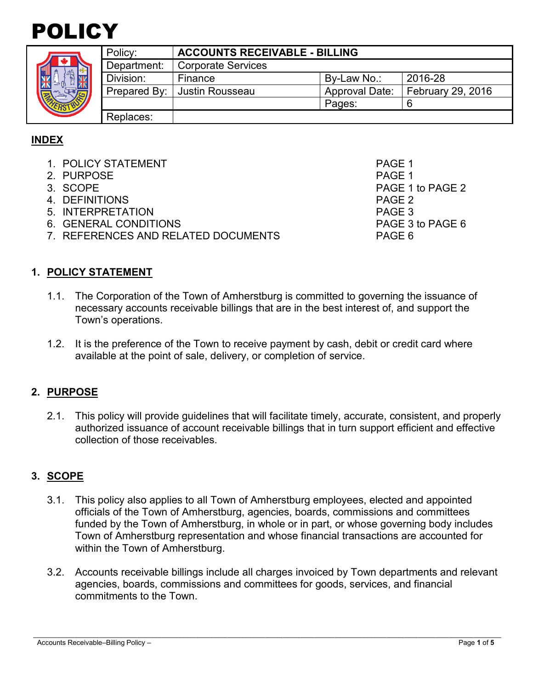

| c, | ER; |  |
|----|-----|--|

|  | Policy:      | <b>ACCOUNTS RECEIVABLE - BILLING</b> |                       |                   |
|--|--------------|--------------------------------------|-----------------------|-------------------|
|  | Department:  | Corporate Services                   |                       |                   |
|  | Division:    | Finance                              | By-Law No.:           | 2016-28           |
|  | Prepared By: | ∣ Justin Rousseau                    | <b>Approval Date:</b> | February 29, 2016 |
|  |              |                                      | Pages:                |                   |
|  | Replaces:    |                                      |                       |                   |

# **INDEX**

- 1. POLICY STATEMENT PAGE 1
- 2. PURPOSE PAGE 1<br>3. SCOPE PAGE 1
- 
- 
- 4. DEFINITIONS PAGE 2<br>5. INTERPRETATION PAGE 3 5. INTERPRETATION
- 6. GENERAL CONDITIONS PAGE 3 to PAGE 6
- 7. REFERENCES AND RELATED DOCUMENTS PAGE 6

### **1. POLICY STATEMENT**

- 1.1. The Corporation of the Town of Amherstburg is committed to governing the issuance of necessary accounts receivable billings that are in the best interest of, and support the Town's operations.
- 1.2. It is the preference of the Town to receive payment by cash, debit or credit card where available at the point of sale, delivery, or completion of service.

#### **2. PURPOSE**

2.1. This policy will provide guidelines that will facilitate timely, accurate, consistent, and properly authorized issuance of account receivable billings that in turn support efficient and effective collection of those receivables.

### **3. SCOPE**

- 3.1. This policy also applies to all Town of Amherstburg employees, elected and appointed officials of the Town of Amherstburg, agencies, boards, commissions and committees funded by the Town of Amherstburg, in whole or in part, or whose governing body includes Town of Amherstburg representation and whose financial transactions are accounted for within the Town of Amherstburg.
- 3.2. Accounts receivable billings include all charges invoiced by Town departments and relevant agencies, boards, commissions and committees for goods, services, and financial commitments to the Town.

PAGE 1 to PAGE 2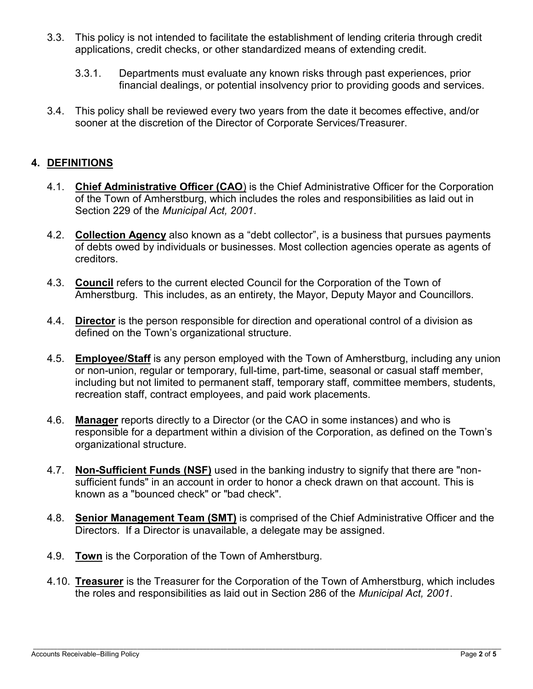- 3.3. This policy is not intended to facilitate the establishment of lending criteria through credit applications, credit checks, or other standardized means of extending credit.
	- 3.3.1. Departments must evaluate any known risks through past experiences, prior financial dealings, or potential insolvency prior to providing goods and services.
- 3.4. This policy shall be reviewed every two years from the date it becomes effective, and/or sooner at the discretion of the Director of Corporate Services/Treasurer.

## **4. DEFINITIONS**

- 4.1. **Chief Administrative Officer (CAO**) is the Chief Administrative Officer for the Corporation of the Town of Amherstburg, which includes the roles and responsibilities as laid out in Section 229 of the *Municipal Act, 2001*.
- 4.2. **Collection Agency** also known as a "debt collector", is a business that pursues payments of debts owed by individuals or businesses. Most collection agencies operate as agents of creditors.
- 4.3. **Council** refers to the current elected Council for the Corporation of the Town of Amherstburg. This includes, as an entirety, the Mayor, Deputy Mayor and Councillors.
- 4.4. **Director** is the person responsible for direction and operational control of a division as defined on the Town's organizational structure.
- 4.5. **Employee/Staff** is any person employed with the Town of Amherstburg, including any union or non-union, regular or temporary, full-time, part-time, seasonal or casual staff member, including but not limited to permanent staff, temporary staff, committee members, students, recreation staff, contract employees, and paid work placements.
- 4.6. **Manager** reports directly to a Director (or the CAO in some instances) and who is responsible for a department within a division of the Corporation, as defined on the Town's organizational structure.
- 4.7. **Non-Sufficient Funds (NSF)** used in the banking industry to signify that there are "nonsufficient funds" in an account in order to honor a check drawn on that account. This is known as a "bounced check" or "bad check".
- 4.8. **Senior Management Team (SMT)** is comprised of the Chief Administrative Officer and the Directors. If a Director is unavailable, a delegate may be assigned.
- 4.9. **Town** is the Corporation of the Town of Amherstburg.
- 4.10. **Treasurer** is the Treasurer for the Corporation of the Town of Amherstburg, which includes the roles and responsibilities as laid out in Section 286 of the *Municipal Act, 2001*.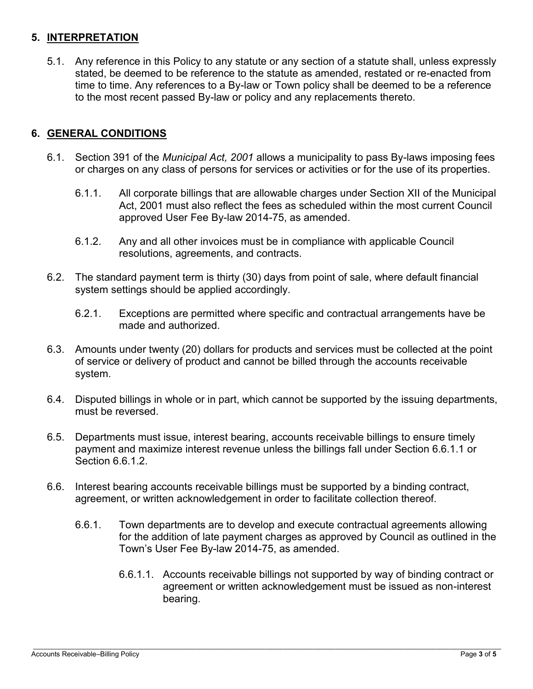## **5. INTERPRETATION**

5.1. Any reference in this Policy to any statute or any section of a statute shall, unless expressly stated, be deemed to be reference to the statute as amended, restated or re-enacted from time to time. Any references to a By-law or Town policy shall be deemed to be a reference to the most recent passed By-law or policy and any replacements thereto.

## **6. GENERAL CONDITIONS**

- 6.1. Section 391 of the *Municipal Act, 2001* allows a municipality to pass By-laws imposing fees or charges on any class of persons for services or activities or for the use of its properties.
	- 6.1.1. All corporate billings that are allowable charges under Section XII of the Municipal Act, 2001 must also reflect the fees as scheduled within the most current Council approved User Fee By-law 2014-75, as amended.
	- 6.1.2. Any and all other invoices must be in compliance with applicable Council resolutions, agreements, and contracts.
- 6.2. The standard payment term is thirty (30) days from point of sale, where default financial system settings should be applied accordingly.
	- 6.2.1. Exceptions are permitted where specific and contractual arrangements have be made and authorized.
- 6.3. Amounts under twenty (20) dollars for products and services must be collected at the point of service or delivery of product and cannot be billed through the accounts receivable system.
- 6.4. Disputed billings in whole or in part, which cannot be supported by the issuing departments, must be reversed.
- 6.5. Departments must issue, interest bearing, accounts receivable billings to ensure timely payment and maximize interest revenue unless the billings fall under Section 6.6.1.1 or Section 6.6.1.2.
- 6.6. Interest bearing accounts receivable billings must be supported by a binding contract, agreement, or written acknowledgement in order to facilitate collection thereof.
	- 6.6.1. Town departments are to develop and execute contractual agreements allowing for the addition of late payment charges as approved by Council as outlined in the Town's User Fee By-law 2014-75, as amended.
		- 6.6.1.1. Accounts receivable billings not supported by way of binding contract or agreement or written acknowledgement must be issued as non-interest bearing.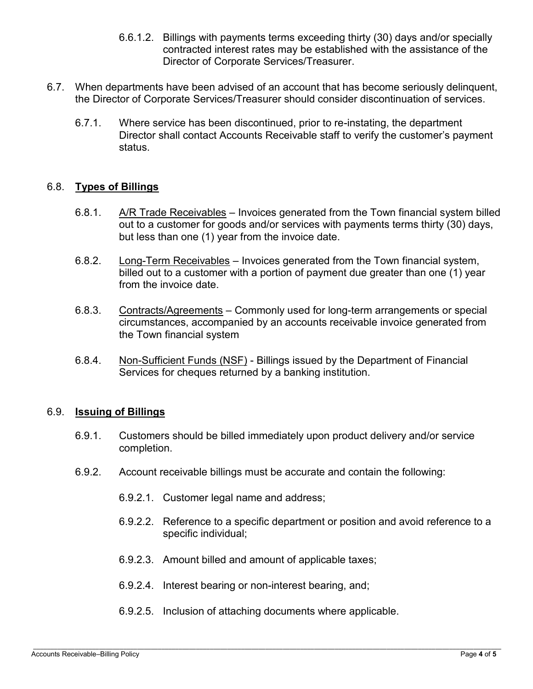- 6.6.1.2. Billings with payments terms exceeding thirty (30) days and/or specially contracted interest rates may be established with the assistance of the Director of Corporate Services/Treasurer.
- 6.7. When departments have been advised of an account that has become seriously delinquent, the Director of Corporate Services/Treasurer should consider discontinuation of services.
	- 6.7.1. Where service has been discontinued, prior to re-instating, the department Director shall contact Accounts Receivable staff to verify the customer's payment status.

#### 6.8. **Types of Billings**

- 6.8.1. A/R Trade Receivables Invoices generated from the Town financial system billed out to a customer for goods and/or services with payments terms thirty (30) days, but less than one (1) year from the invoice date.
- 6.8.2. Long-Term Receivables Invoices generated from the Town financial system, billed out to a customer with a portion of payment due greater than one (1) year from the invoice date.
- 6.8.3. Contracts/Agreements Commonly used for long-term arrangements or special circumstances, accompanied by an accounts receivable invoice generated from the Town financial system
- 6.8.4. Non-Sufficient Funds (NSF) Billings issued by the Department of Financial Services for cheques returned by a banking institution.

#### 6.9. **Issuing of Billings**

- 6.9.1. Customers should be billed immediately upon product delivery and/or service completion.
- 6.9.2. Account receivable billings must be accurate and contain the following:
	- 6.9.2.1. Customer legal name and address;
	- 6.9.2.2. Reference to a specific department or position and avoid reference to a specific individual;
	- 6.9.2.3. Amount billed and amount of applicable taxes;
	- 6.9.2.4. Interest bearing or non-interest bearing, and;
	- 6.9.2.5. Inclusion of attaching documents where applicable.